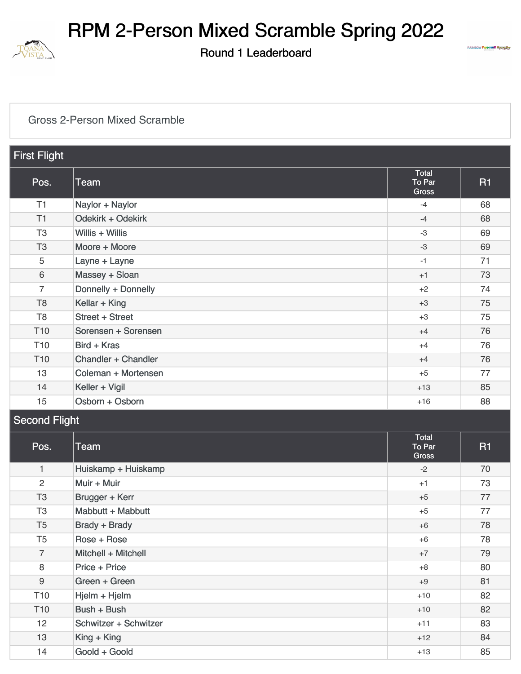

Round 1 Leaderboard



#### [Gross 2-Person Mixed Scramble](https://static.golfgenius.com/v2tournaments/8480257566113319551?called_from=&round_index=1)

| <b>First Flight</b> |                     |                                        |           |  |
|---------------------|---------------------|----------------------------------------|-----------|--|
| Pos.                | Team                | <b>Total</b><br>To Par<br><b>Gross</b> | <b>R1</b> |  |
| T1                  | Naylor + Naylor     | $-4$                                   | 68        |  |
| T1                  | Odekirk + Odekirk   | $-4$                                   | 68        |  |
| T <sub>3</sub>      | Willis $+$ Willis   | -3                                     | 69        |  |
| T <sub>3</sub>      | Moore + Moore       | $-3$                                   | 69        |  |
| 5                   | Layne + Layne       | $-1$                                   | 71        |  |
| 6                   | Massey + Sloan      | $+1$                                   | 73        |  |
| $\overline{7}$      | Donnelly + Donnelly | $+2$                                   | 74        |  |
| T <sub>8</sub>      | Kellar + King       | $+3$                                   | 75        |  |
| T <sub>8</sub>      | Street + Street     | $+3$                                   | 75        |  |
| T <sub>10</sub>     | Sorensen + Sorensen | $+4$                                   | 76        |  |
| T <sub>10</sub>     | Bird + Kras         | $+4$                                   | 76        |  |
| T <sub>10</sub>     | Chandler + Chandler | $+4$                                   | 76        |  |
| 13                  | Coleman + Mortensen | $+5$                                   | 77        |  |
| 14                  | Keller + Vigil      | $+13$                                  | 85        |  |
| 15                  | Osborn + Osborn     | $+16$                                  | 88        |  |

#### Second Flight

| Pos.            | <b>Team</b>           | Total<br>To Par<br><b>Gross</b> | <b>R1</b> |
|-----------------|-----------------------|---------------------------------|-----------|
| $\mathbf{1}$    | Huiskamp + Huiskamp   | $-2$                            | 70        |
| 2               | Muir + Muir           | $+1$                            | 73        |
| T <sub>3</sub>  | Brugger + Kerr        | $+5$                            | 77        |
| T <sub>3</sub>  | Mabbutt + Mabbutt     | $+5$                            | 77        |
| T <sub>5</sub>  | <b>Brady + Brady</b>  | $+6$                            | 78        |
| T <sub>5</sub>  | Rose + Rose           | $+6$                            | 78        |
| $\overline{7}$  | Mitchell + Mitchell   | $+7$                            | 79        |
| 8               | Price + Price         | $+8$                            | 80        |
| 9               | Green + Green         | $+9$                            | 81        |
| T <sub>10</sub> | Hjelm + Hjelm         | $+10$                           | 82        |
| T <sub>10</sub> | Bush + Bush           | $+10$                           | 82        |
| 12              | Schwitzer + Schwitzer | $+11$                           | 83        |
| 13              | King + King           | $+12$                           | 84        |
| 14              | Goold + Goold         | $+13$                           | 85        |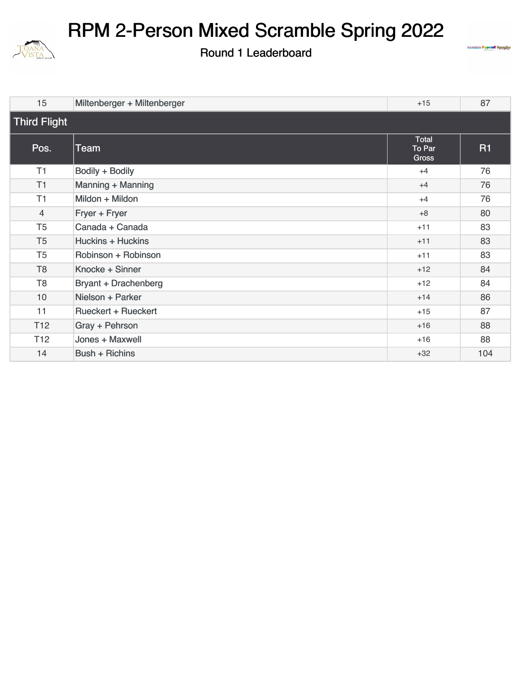

Round 1 Leaderboard



| 15                  | Miltenberger + Miltenberger | $+15$                                  | 87        |  |
|---------------------|-----------------------------|----------------------------------------|-----------|--|
| <b>Third Flight</b> |                             |                                        |           |  |
| Pos.                | Team                        | <b>Total</b><br>To Par<br><b>Gross</b> | <b>R1</b> |  |
| T1                  | Bodily + Bodily             | $+4$                                   | 76        |  |
| T <sub>1</sub>      | Manning + Manning           | $+4$                                   | 76        |  |
| T1                  | Mildon + Mildon             | $+4$                                   | 76        |  |
| 4                   | Fryer + Fryer               | $+8$                                   | 80        |  |
| T <sub>5</sub>      | Canada + Canada             | $+11$                                  | 83        |  |
| T <sub>5</sub>      | <b>Huckins + Huckins</b>    | $+11$                                  | 83        |  |
| T <sub>5</sub>      | Robinson + Robinson         | $+11$                                  | 83        |  |
| T <sub>8</sub>      | Knocke + Sinner             | $+12$                                  | 84        |  |
| T <sub>8</sub>      | <b>Bryant + Drachenberg</b> | $+12$                                  | 84        |  |
| 10                  | Nielson + Parker            | $+14$                                  | 86        |  |
| 11                  | <b>Rueckert + Rueckert</b>  | $+15$                                  | 87        |  |
| T <sub>12</sub>     | Gray + Pehrson              | $+16$                                  | 88        |  |
| T <sub>12</sub>     | Jones + Maxwell             | $+16$                                  | 88        |  |
| 14                  | <b>Bush + Richins</b>       | $+32$                                  | 104       |  |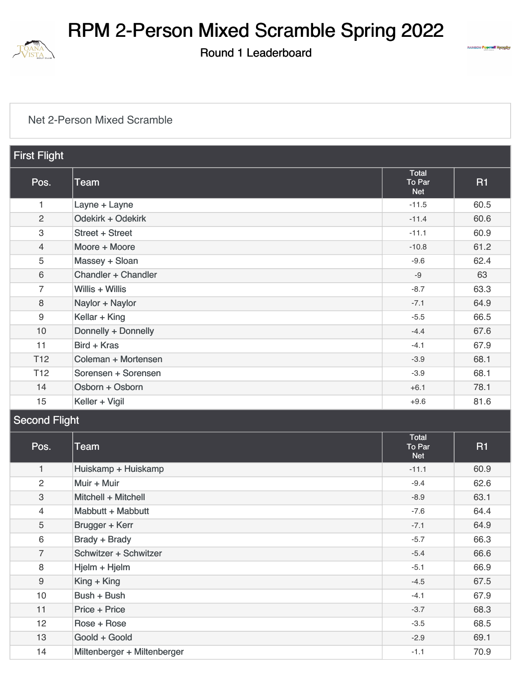

 $\mathbf{H}$  Flight

## RPM 2-Person Mixed Scramble Spring 2022

Round 1 Leaderboard



#### [Net 2-Person Mixed Scramble](https://static.golfgenius.com/v2tournaments/8480257580038408832?called_from=&round_index=1)

| <u>ı nəti liyin</u> |                             |                                      |           |  |  |
|---------------------|-----------------------------|--------------------------------------|-----------|--|--|
| Pos.                | <b>Team</b>                 | <b>Total</b><br>To Par<br><b>Net</b> | <b>R1</b> |  |  |
| 1                   | Layne + Layne               | $-11.5$                              | 60.5      |  |  |
| $\overline{2}$      | Odekirk + Odekirk           | $-11.4$                              | 60.6      |  |  |
| 3                   | <b>Street + Street</b>      | $-11.1$                              | 60.9      |  |  |
| $\overline{4}$      | Moore + Moore               | $-10.8$                              | 61.2      |  |  |
| 5                   | Massey + Sloan              | $-9.6$                               | 62.4      |  |  |
| $6\phantom{1}$      | Chandler + Chandler         | $-9$                                 | 63        |  |  |
| $\overline{7}$      | Willis + Willis             | $-8.7$                               | 63.3      |  |  |
| 8                   | Naylor + Naylor             | $-7.1$                               | 64.9      |  |  |
| 9                   | Kellar + King               | $-5.5$                               | 66.5      |  |  |
| 10                  | Donnelly + Donnelly         | $-4.4$                               | 67.6      |  |  |
| 11                  | Bird + Kras                 | $-4.1$                               | 67.9      |  |  |
| T <sub>12</sub>     | Coleman + Mortensen         | $-3.9$                               | 68.1      |  |  |
| T <sub>12</sub>     | Sorensen + Sorensen         | $-3.9$                               | 68.1      |  |  |
| 14                  | Osborn + Osborn             | $+6.1$                               | 78.1      |  |  |
| 15                  | Keller + Vigil              | $+9.6$                               | 81.6      |  |  |
|                     | <b>Second Flight</b>        |                                      |           |  |  |
| Pos.                | <b>Team</b>                 | <b>Total</b><br>To Par<br><b>Net</b> | <b>R1</b> |  |  |
| $\mathbf{1}$        | Huiskamp + Huiskamp         | $-11.1$                              | 60.9      |  |  |
| $\overline{2}$      | Muir + Muir                 | $-9.4$                               | 62.6      |  |  |
| $\,3$               | Mitchell + Mitchell         | $-8.9$                               | 63.1      |  |  |
| 4                   | Mabbutt + Mabbutt           | $-7.6$                               | 64.4      |  |  |
| 5                   | Brugger + Kerr              | $-7.1$                               | 64.9      |  |  |
| $\,6\,$             | <b>Brady + Brady</b>        | $-5.7$                               | 66.3      |  |  |
| $\overline{7}$      | Schwitzer + Schwitzer       | $-5.4$                               | 66.6      |  |  |
| $\, 8$              | Hjelm + Hjelm               | $-5.1$                               | 66.9      |  |  |
| $\boldsymbol{9}$    | King + King                 | $-4.5$                               | 67.5      |  |  |
| 10                  | Bush + Bush                 | $-4.1$                               | 67.9      |  |  |
| 11                  | Price + Price               | $-3.7$                               | 68.3      |  |  |
| 12                  | Rose + Rose                 | $-3.5$                               | 68.5      |  |  |
| 13                  | Goold + Goold               | $-2.9$                               | 69.1      |  |  |
| 14                  | Miltenberger + Miltenberger | $-1.1$                               | 70.9      |  |  |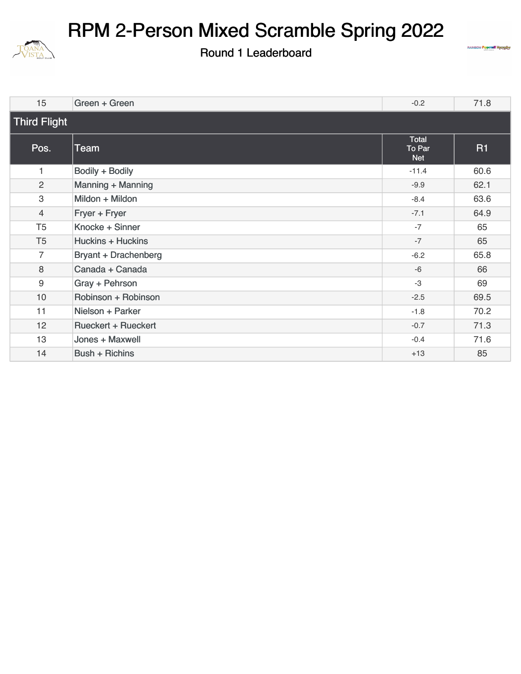

Round 1 Leaderboard



| 15               | Green + Green               | $-0.2$                        | 71.8      |  |  |
|------------------|-----------------------------|-------------------------------|-----------|--|--|
|                  | <b>Third Flight</b>         |                               |           |  |  |
| Pos.             | <b>Team</b>                 | Total<br>To Par<br><b>Net</b> | <b>R1</b> |  |  |
| 1                | Bodily + Bodily             | $-11.4$                       | 60.6      |  |  |
| 2                | Manning + Manning           | $-9.9$                        | 62.1      |  |  |
| 3                | Mildon + Mildon             | $-8.4$                        | 63.6      |  |  |
| $\overline{4}$   | Fryer + Fryer               | $-7.1$                        | 64.9      |  |  |
| T <sub>5</sub>   | Knocke + Sinner             | $-7$                          | 65        |  |  |
| T <sub>5</sub>   | <b>Huckins + Huckins</b>    | $-7$                          | 65        |  |  |
| 7                | <b>Bryant + Drachenberg</b> | $-6.2$                        | 65.8      |  |  |
| 8                | Canada + Canada             | $-6$                          | 66        |  |  |
| $\boldsymbol{9}$ | Gray + Pehrson              | $-3$                          | 69        |  |  |
| 10               | Robinson + Robinson         | $-2.5$                        | 69.5      |  |  |
| 11               | Nielson + Parker            | $-1.8$                        | 70.2      |  |  |
| 12               | <b>Rueckert + Rueckert</b>  | $-0.7$                        | 71.3      |  |  |
| 13               | Jones + Maxwell             | $-0.4$                        | 71.6      |  |  |
| 14               | <b>Bush + Richins</b>       | $+13$                         | 85        |  |  |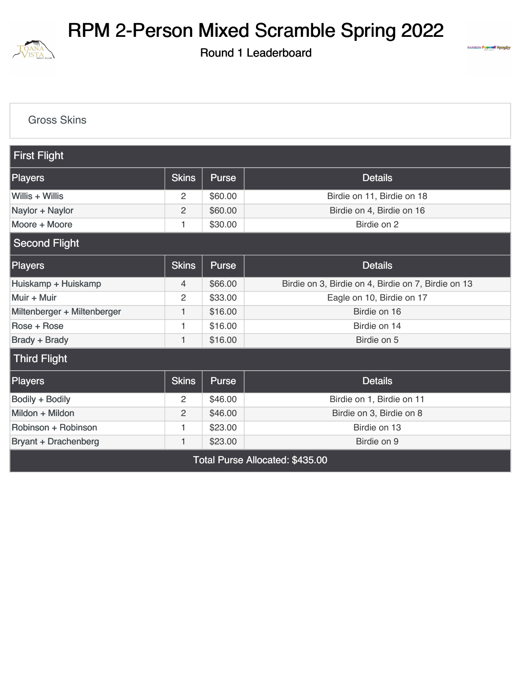

Round 1 Leaderboard



#### [Gross Skins](https://static.golfgenius.com/v2tournaments/8471602298424969952?called_from=&round_index=1)

| <b>First Flight</b>             |                |              |                                                     |  |  |
|---------------------------------|----------------|--------------|-----------------------------------------------------|--|--|
| <b>Players</b>                  | <b>Skins</b>   | <b>Purse</b> | <b>Details</b>                                      |  |  |
| Willis $+$ Willis               | 2              | \$60.00      | Birdie on 11, Birdie on 18                          |  |  |
| Naylor + Naylor                 | 2              | \$60.00      | Birdie on 4, Birdie on 16                           |  |  |
| Moore + Moore                   | 1              | \$30.00      | Birdie on 2                                         |  |  |
| <b>Second Flight</b>            |                |              |                                                     |  |  |
| <b>Players</b>                  | <b>Skins</b>   | <b>Purse</b> | <b>Details</b>                                      |  |  |
| Huiskamp + Huiskamp             | 4              | \$66.00      | Birdie on 3, Birdie on 4, Birdie on 7, Birdie on 13 |  |  |
| Muir + Muir                     | $\overline{c}$ | \$33.00      | Eagle on 10, Birdie on 17                           |  |  |
| Miltenberger + Miltenberger     | 1              | \$16.00      | Birdie on 16                                        |  |  |
| Rose + Rose                     | $\mathbf{1}$   | \$16.00      | Birdie on 14                                        |  |  |
| <b>Brady + Brady</b>            | 1              | \$16.00      | Birdie on 5                                         |  |  |
| <b>Third Flight</b>             |                |              |                                                     |  |  |
| Players                         | <b>Skins</b>   | Purse        | <b>Details</b>                                      |  |  |
| Bodily + Bodily                 | 2              | \$46.00      | Birdie on 1, Birdie on 11                           |  |  |
| Mildon + Mildon                 | $\overline{2}$ | \$46.00      | Birdie on 3, Birdie on 8                            |  |  |
| Robinson + Robinson             | 1              | \$23.00      | Birdie on 13                                        |  |  |
| <b>Bryant + Drachenberg</b>     | 1              | \$23.00      | Birdie on 9                                         |  |  |
| Total Purse Allocated: \$435.00 |                |              |                                                     |  |  |